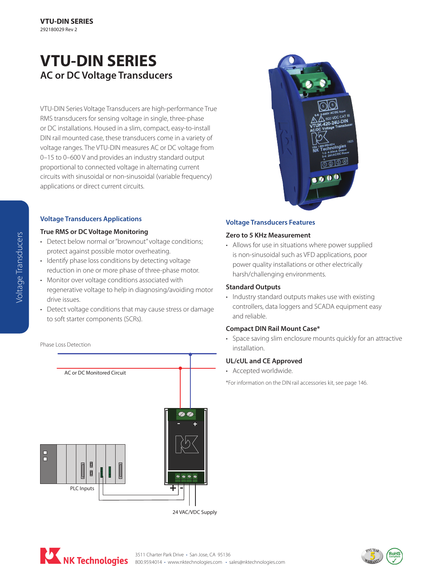# **VTU-DIN SERIES AC or DC Voltage Transducers**

VTU-DIN Series Voltage Transducers are high-performance True RMS transducers for sensing voltage in single, three-phase or DC installations. Housed in a slim, compact, easy-to-install DIN rail mounted case, these transducers come in a variety of voltage ranges. The VTU-DIN measures AC or DC voltage from 0–15 to 0–600 V and provides an industry standard output proportional to connected voltage in alternating current circuits with sinusoidal or non-sinusoidal (variable frequency) applications or direct current circuits.

## **Voltage Transducers Applications**

## **True RMS or DC Voltage Monitoring**

- Detect below normal or "brownout" voltage conditions; protect against possible motor overheating.
- Identify phase loss conditions by detecting voltage reduction in one or more phase of three-phase motor.
- Monitor over voltage conditions associated with regenerative voltage to help in diagnosing/avoiding motor drive issues.
- Detect voltage conditions that may cause stress or damage to soft starter components (SCRs).

Phase Loss Detection





### **Voltage Transducers Features**

### **Zero to 5 KHz Measurement**

• Allows for use in situations where power supplied is non-sinusoidal such as VFD applications, poor power quality installations or other electrically harsh/challenging environments.

### **Standard Outputs**

• Industry standard outputs makes use with existing controllers, data loggers and SCADA equipment easy and reliable.

## **Compact DIN Rail Mount Case\***

• Space saving slim enclosure mounts quickly for an attractive installation.

## **UL/cUL and CE Approved**

• Accepted worldwide.

\*For information on the DIN rail accessories kit, see page 146.